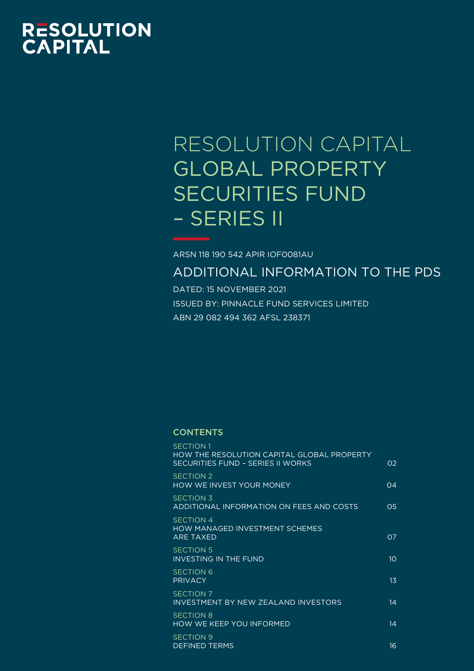# **RESOLUTION<br>CAPITAL**

# RESOLUTION CAPITAL GLOBAL PROPERTY SECURITIES FUND – SERIES II

ARSN 118 190 542 APIR IOF0081AU

ADDITIONAL INFORMATION TO THE PDS

DATED: 15 NOVEMBER 2021 ISSUED BY: PINNACLE FUND SERVICES LIMITED ABN 29 082 494 362 AFSL 238371

# **CONTENTS**

| <b>SECTION 1</b><br>HOW THE RESOLUTION CAPITAL GLOBAL PROPERTY<br>SECURITIES FUND - SERIES II WORKS | O2              |
|-----------------------------------------------------------------------------------------------------|-----------------|
| SECTION <sub>2</sub><br><b>HOW WE INVEST YOUR MONEY</b>                                             | $\Omega$        |
| <b>SECTION 3</b><br>ADDITIONAL INFORMATION ON FEES AND COSTS                                        | 05              |
| <b>SECTION 4</b><br><b>HOW MANAGED INVESTMENT SCHEMES</b><br><b>ARF TAXFD</b>                       | O <sub>7</sub>  |
| <b>SECTION 5</b><br><b>INVESTING IN THE FUND</b>                                                    | 10 <sup>°</sup> |
| <b>SECTION 6</b><br><b>PRIVACY</b>                                                                  | $1\overline{3}$ |
| <b>SECTION 7</b><br>INVESTMENT BY NEW ZEALAND INVESTORS                                             | 14              |
| <b>SECTION 8</b><br>HOW WE KEEP YOU INFORMED                                                        | 14              |
| <b>SECTION 9</b><br><b>DEFINED TERMS</b>                                                            | 16              |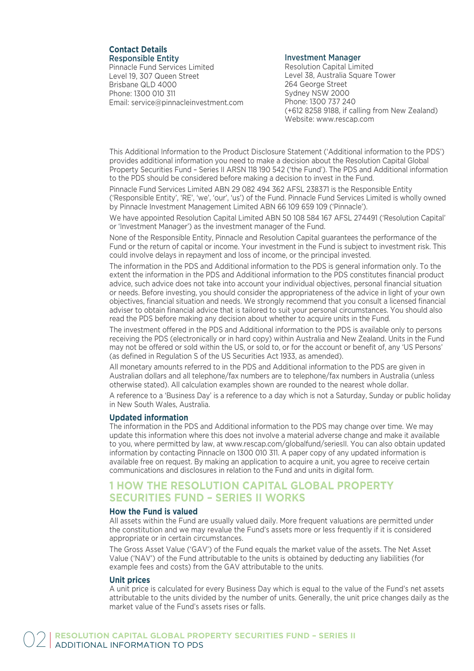# **Contact Details** Responsible Entity

Pinnacle Fund Services Limited Level 19, 307 Queen Street Brisbane QLD 4000 Phone: 1300 010 311 Email: service@pinnacleinvestment.com

# Investment Manager

Resolution Capital Limited Level 38, Australia Square Tower 264 George Street Sydney NSW 2000 Phone: 1300 737 240 (+612 8258 9188, if calling from New Zealand) Website: www.rescap.com

This Additional Information to the Product Disclosure Statement ('Additional information to the PDS') provides additional information you need to make a decision about the Resolution Capital Global Property Securities Fund – Series II ARSN 118 190 542 ('the Fund'). The PDS and Additional information to the PDS should be considered before making a decision to invest in the Fund.

Pinnacle Fund Services Limited ABN 29 082 494 362 AFSL 238371 is the Responsible Entity ('Responsible Entity', 'RE', 'we', 'our', 'us') of the Fund. Pinnacle Fund Services Limited is wholly owned by Pinnacle Investment Management Limited ABN 66 109 659 109 ('Pinnacle').

We have appointed Resolution Capital Limited ABN 50 108 584 167 AFSL 274491 ('Resolution Capital' or 'Investment Manager') as the investment manager of the Fund.

None of the Responsible Entity, Pinnacle and Resolution Capital guarantees the performance of the Fund or the return of capital or income. Your investment in the Fund is subject to investment risk. This could involve delays in repayment and loss of income, or the principal invested.

The information in the PDS and Additional information to the PDS is general information only. To the extent the information in the PDS and Additional information to the PDS constitutes financial product advice, such advice does not take into account your individual objectives, personal financial situation or needs. Before investing, you should consider the appropriateness of the advice in light of your own objectives, financial situation and needs. We strongly recommend that you consult a licensed financial adviser to obtain financial advice that is tailored to suit your personal circumstances. You should also read the PDS before making any decision about whether to acquire units in the Fund.

The investment offered in the PDS and Additional information to the PDS is available only to persons receiving the PDS (electronically or in hard copy) within Australia and New Zealand. Units in the Fund may not be offered or sold within the US, or sold to, or for the account or benefit of, any 'US Persons' (as defined in Regulation S of the US Securities Act 1933, as amended).

All monetary amounts referred to in the PDS and Additional information to the PDS are given in Australian dollars and all telephone/fax numbers are to telephone/fax numbers in Australia (unless otherwise stated). All calculation examples shown are rounded to the nearest whole dollar.

A reference to a 'Business Day' is a reference to a day which is not a Saturday, Sunday or public holiday in New South Wales, Australia.

# **Updated information**

The information in the PDS and Additional information to the PDS may change over time. We may update this information where this does not involve a material adverse change and make it available to you, where permitted by law, at www.rescap.com/globalfund/seriesII. You can also obtain updated information by contacting Pinnacle on 1300 010 311. A paper copy of any updated information is available free on request. By making an application to acquire a unit, you agree to receive certain communications and disclosures in relation to the Fund and units in digital form.

# **1 HOW THE RESOLUTION CAPITAL GLOBAL PROPERTY SECURITIES FUND – SERIES II WORKS**

# **How the Fund is valued**

All assets within the Fund are usually valued daily. More frequent valuations are permitted under the constitution and we may revalue the Fund's assets more or less frequently if it is considered appropriate or in certain circumstances.

The Gross Asset Value ('GAV') of the Fund equals the market value of the assets. The Net Asset Value ('NAV') of the Fund attributable to the units is obtained by deducting any liabilities (for example fees and costs) from the GAV attributable to the units.

# **Unit prices**

A unit price is calculated for every Business Day which is equal to the value of the Fund's net assets attributable to the units divided by the number of units. Generally, the unit price changes daily as the market value of the Fund's assets rises or falls.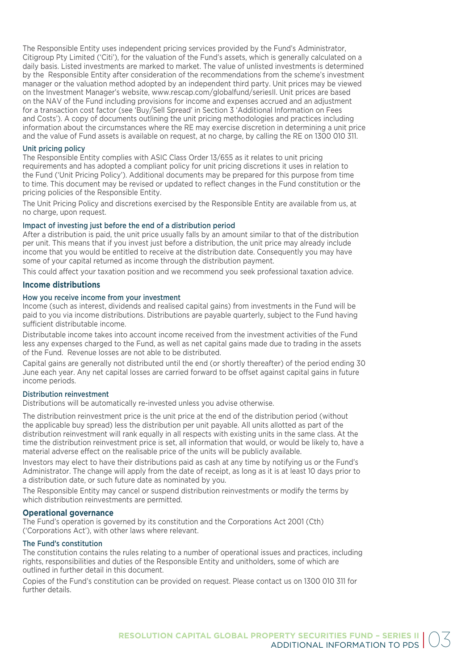The Responsible Entity uses independent pricing services provided by the Fund's Administrator, Citigroup Pty Limited ('Citi'), for the valuation of the Fund's assets, which is generally calculated on a daily basis. Listed investments are marked to market. The value of unlisted investments is determined by the Responsible Entity after consideration of the recommendations from the scheme's investment manager or the valuation method adopted by an independent third party. Unit prices may be viewed on the Investment Manager's website, www.rescap.com/globalfund/seriesII. Unit prices are based on the NAV of the Fund including provisions for income and expenses accrued and an adjustment for a transaction cost factor (see 'Buy/Sell Spread' in Section 3 'Additional Information on Fees and Costs'). A copy of documents outlining the unit pricing methodologies and practices including information about the circumstances where the RE may exercise discretion in determining a unit price and the value of Fund assets is available on request, at no charge, by calling the RE on 1300 010 311.

# Unit pricing policy

The Responsible Entity complies with ASIC Class Order 13/655 as it relates to unit pricing requirements and has adopted a compliant policy for unit pricing discretions it uses in relation to the Fund ('Unit Pricing Policy'). Additional documents may be prepared for this purpose from time to time. This document may be revised or updated to reflect changes in the Fund constitution or the pricing policies of the Responsible Entity.

The Unit Pricing Policy and discretions exercised by the Responsible Entity are available from us, at no charge, upon request.

# Impact of investing just before the end of a distribution period

After a distribution is paid, the unit price usually falls by an amount similar to that of the distribution per unit. This means that if you invest just before a distribution, the unit price may already include income that you would be entitled to receive at the distribution date. Consequently you may have some of your capital returned as income through the distribution payment.

This could affect your taxation position and we recommend you seek professional taxation advice.

# **Income distributions**

# How you receive income from your investment

Income (such as interest, dividends and realised capital gains) from investments in the Fund will be paid to you via income distributions. Distributions are payable quarterly, subject to the Fund having sufficient distributable income.

Distributable income takes into account income received from the investment activities of the Fund less any expenses charged to the Fund, as well as net capital gains made due to trading in the assets of the Fund. Revenue losses are not able to be distributed.

Capital gains are generally not distributed until the end (or shortly thereafter) of the period ending 30 June each year. Any net capital losses are carried forward to be offset against capital gains in future income periods.

#### Distribution reinvestment

Distributions will be automatically re-invested unless you advise otherwise.

The distribution reinvestment price is the unit price at the end of the distribution period (without the applicable buy spread) less the distribution per unit payable. All units allotted as part of the distribution reinvestment will rank equally in all respects with existing units in the same class. At the time the distribution reinvestment price is set, all information that would, or would be likely to, have a material adverse effect on the realisable price of the units will be publicly available.

Investors may elect to have their distributions paid as cash at any time by notifying us or the Fund's Administrator. The change will apply from the date of receipt, as long as it is at least 10 days prior to a distribution date, or such future date as nominated by you.

The Responsible Entity may cancel or suspend distribution reinvestments or modify the terms by which distribution reinvestments are permitted.

# **Operational governance**

The Fund's operation is governed by its constitution and the Corporations Act 2001 (Cth) ('Corporations Act'), with other laws where relevant.

# The Fund's constitution

The constitution contains the rules relating to a number of operational issues and practices, including rights, responsibilities and duties of the Responsible Entity and unitholders, some of which are outlined in further detail in this document.

Copies of the Fund's constitution can be provided on request. Please contact us on 1300 010 311 for further details.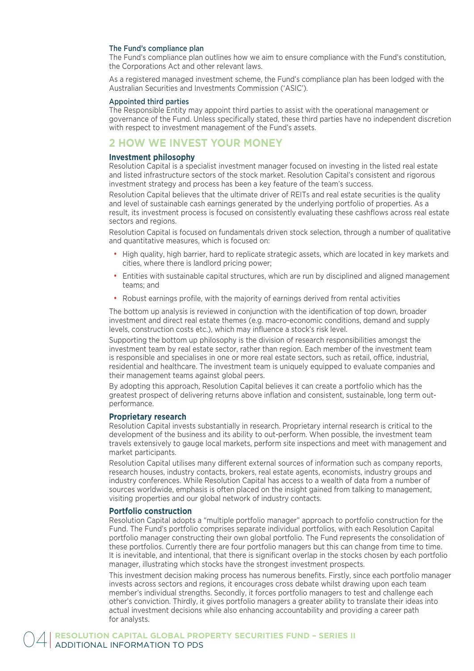# The Fund's compliance plan

The Fund's compliance plan outlines how we aim to ensure compliance with the Fund's constitution, the Corporations Act and other relevant laws.

As a registered managed investment scheme, the Fund's compliance plan has been lodged with the Australian Securities and Investments Commission ('ASIC').

#### Appointed third parties

The Responsible Entity may appoint third parties to assist with the operational management or governance of the Fund. Unless specifically stated, these third parties have no independent discretion with respect to investment management of the Fund's assets.

# **2 HOW WE INVEST YOUR MONEY**

# **Investment philosophy**

Resolution Capital is a specialist investment manager focused on investing in the listed real estate and listed infrastructure sectors of the stock market. Resolution Capital's consistent and rigorous investment strategy and process has been a key feature of the team's success.

Resolution Capital believes that the ultimate driver of REITs and real estate securities is the quality and level of sustainable cash earnings generated by the underlying portfolio of properties. As a result, its investment process is focused on consistently evaluating these cashflows across real estate sectors and regions.

Resolution Capital is focused on fundamentals driven stock selection, through a number of qualitative and quantitative measures, which is focused on:

- High quality, high barrier, hard to replicate strategic assets, which are located in key markets and cities, where there is landlord pricing power;
- Entities with sustainable capital structures, which are run by disciplined and aligned management teams; and
- Robust earnings profile, with the majority of earnings derived from rental activities

The bottom up analysis is reviewed in conjunction with the identification of top down, broader investment and direct real estate themes (e.g. macro-economic conditions, demand and supply levels, construction costs etc.), which may influence a stock's risk level.

Supporting the bottom up philosophy is the division of research responsibilities amongst the investment team by real estate sector, rather than region. Each member of the investment team is responsible and specialises in one or more real estate sectors, such as retail, office, industrial, residential and healthcare. The investment team is uniquely equipped to evaluate companies and their management teams against global peers.

By adopting this approach, Resolution Capital believes it can create a portfolio which has the greatest prospect of delivering returns above inflation and consistent, sustainable, long term outperformance.

#### **Proprietary research**

Resolution Capital invests substantially in research. Proprietary internal research is critical to the development of the business and its ability to out-perform. When possible, the investment team travels extensively to gauge local markets, perform site inspections and meet with management and market participants.

Resolution Capital utilises many different external sources of information such as company reports, research houses, industry contacts, brokers, real estate agents, economists, industry groups and industry conferences. While Resolution Capital has access to a wealth of data from a number of sources worldwide, emphasis is often placed on the insight gained from talking to management, visiting properties and our global network of industry contacts.

# **Portfolio construction**

Resolution Capital adopts a "multiple portfolio manager" approach to portfolio construction for the Fund. The Fund's portfolio comprises separate individual portfolios, with each Resolution Capital portfolio manager constructing their own global portfolio. The Fund represents the consolidation of these portfolios. Currently there are four portfolio managers but this can change from time to time. It is inevitable, and intentional, that there is significant overlap in the stocks chosen by each portfolio manager, illustrating which stocks have the strongest investment prospects.

This investment decision making process has numerous benefits. Firstly, since each portfolio manager invests across sectors and regions, it encourages cross debate whilst drawing upon each team member's individual strengths. Secondly, it forces portfolio managers to test and challenge each other's conviction. Thirdly, it gives portfolio managers a greater ability to translate their ideas into actual investment decisions while also enhancing accountability and providing a career path for analysts.

**RESOLUTION CAPITAL GLOBAL PROPERTY SECURITIES FUND – SERIES II**<br>ADDITIONAL INFORMATION TO PDS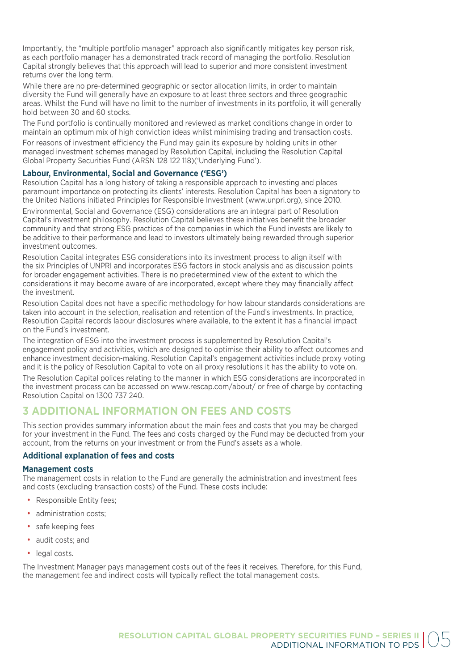Importantly, the "multiple portfolio manager" approach also significantly mitigates key person risk, as each portfolio manager has a demonstrated track record of managing the portfolio. Resolution Capital strongly believes that this approach will lead to superior and more consistent investment returns over the long term.

While there are no pre-determined geographic or sector allocation limits, in order to maintain diversity the Fund will generally have an exposure to at least three sectors and three geographic areas. Whilst the Fund will have no limit to the number of investments in its portfolio, it will generally hold between 30 and 60 stocks.

The Fund portfolio is continually monitored and reviewed as market conditions change in order to maintain an optimum mix of high conviction ideas whilst minimising trading and transaction costs.

For reasons of investment efficiency the Fund may gain its exposure by holding units in other managed investment schemes managed by Resolution Capital, including the Resolution Capital Global Property Securities Fund (ARSN 128 122 118)('Underlying Fund').

# **Labour, Environmental, Social and Governance ('ESG')**

Resolution Capital has a long history of taking a responsible approach to investing and places paramount importance on protecting its clients' interests. Resolution Capital has been a signatory to the United Nations initiated Principles for Responsible Investment (www.unpri.org), since 2010.

Environmental, Social and Governance (ESG) considerations are an integral part of Resolution Capital's investment philosophy. Resolution Capital believes these initiatives benefit the broader community and that strong ESG practices of the companies in which the Fund invests are likely to be additive to their performance and lead to investors ultimately being rewarded through superior investment outcomes.

Resolution Capital integrates ESG considerations into its investment process to align itself with the six Principles of UNPRI and incorporates ESG factors in stock analysis and as discussion points for broader engagement activities. There is no predetermined view of the extent to which the considerations it may become aware of are incorporated, except where they may financially affect the investment.

Resolution Capital does not have a specific methodology for how labour standards considerations are taken into account in the selection, realisation and retention of the Fund's investments. In practice, Resolution Capital records labour disclosures where available, to the extent it has a financial impact on the Fund's investment.

The integration of ESG into the investment process is supplemented by Resolution Capital's engagement policy and activities, which are designed to optimise their ability to affect outcomes and enhance investment decision-making. Resolution Capital's engagement activities include proxy voting and it is the policy of Resolution Capital to vote on all proxy resolutions it has the ability to vote on.

The Resolution Capital polices relating to the manner in which ESG considerations are incorporated in the investment process can be accessed on www.rescap.com/about/ or free of charge by contacting Resolution Capital on 1300 737 240.

# **3 ADDITIONAL INFORMATION ON FEES AND COSTS**

This section provides summary information about the main fees and costs that you may be charged for your investment in the Fund. The fees and costs charged by the Fund may be deducted from your account, from the returns on your investment or from the Fund's assets as a whole.

# **Additional explanation of fees and costs**

# **Management costs**

The management costs in relation to the Fund are generally the administration and investment fees and costs (excluding transaction costs) of the Fund. These costs include:

- Responsible Entity fees;
- administration costs:
- safe keeping fees
- audit costs; and
- legal costs.

The Investment Manager pays management costs out of the fees it receives. Therefore, for this Fund, the management fee and indirect costs will typically reflect the total management costs.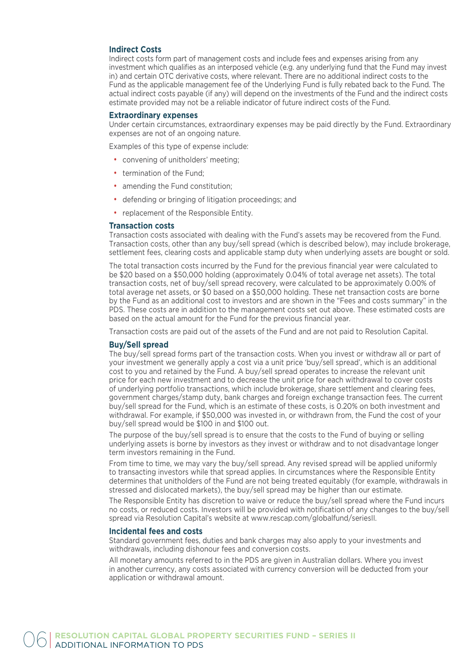# **Indirect Costs**

Indirect costs form part of management costs and include fees and expenses arising from any investment which qualifies as an interposed vehicle (e.g. any underlying fund that the Fund may invest in) and certain OTC derivative costs, where relevant. There are no additional indirect costs to the Fund as the applicable management fee of the Underlying Fund is fully rebated back to the Fund. The actual indirect costs payable (if any) will depend on the investments of the Fund and the indirect costs estimate provided may not be a reliable indicator of future indirect costs of the Fund.

#### **Extraordinary expenses**

Under certain circumstances, extraordinary expenses may be paid directly by the Fund. Extraordinary expenses are not of an ongoing nature.

Examples of this type of expense include:

- convening of unitholders' meeting;
- termination of the Fund:
- amending the Fund constitution;
- defending or bringing of litigation proceedings; and
- replacement of the Responsible Entity.

# **Transaction costs**

Transaction costs associated with dealing with the Fund's assets may be recovered from the Fund. Transaction costs, other than any buy/sell spread (which is described below), may include brokerage, settlement fees, clearing costs and applicable stamp duty when underlying assets are bought or sold.

The total transaction costs incurred by the Fund for the previous financial year were calculated to be \$20 based on a \$50,000 holding (approximately 0.04% of total average net assets). The total transaction costs, net of buy/sell spread recovery, were calculated to be approximately 0.00% of total average net assets, or \$0 based on a \$50,000 holding. These net transaction costs are borne by the Fund as an additional cost to investors and are shown in the "Fees and costs summary" in the PDS. These costs are in addition to the management costs set out above. These estimated costs are based on the actual amount for the Fund for the previous financial year.

Transaction costs are paid out of the assets of the Fund and are not paid to Resolution Capital.

# **Buy/Sell spread**

The buy/sell spread forms part of the transaction costs. When you invest or withdraw all or part of your investment we generally apply a cost via a unit price 'buy/sell spread', which is an additional cost to you and retained by the Fund. A buy/sell spread operates to increase the relevant unit price for each new investment and to decrease the unit price for each withdrawal to cover costs of underlying portfolio transactions, which include brokerage, share settlement and clearing fees, government charges/stamp duty, bank charges and foreign exchange transaction fees. The current buy/sell spread for the Fund, which is an estimate of these costs, is 0.20% on both investment and withdrawal. For example, if \$50,000 was invested in, or withdrawn from, the Fund the cost of your buy/sell spread would be \$100 in and \$100 out.

The purpose of the buy/sell spread is to ensure that the costs to the Fund of buying or selling underlying assets is borne by investors as they invest or withdraw and to not disadvantage longer term investors remaining in the Fund.

From time to time, we may vary the buy/sell spread. Any revised spread will be applied uniformly to transacting investors while that spread applies. In circumstances where the Responsible Entity determines that unitholders of the Fund are not being treated equitably (for example, withdrawals in stressed and dislocated markets), the buy/sell spread may be higher than our estimate.

The Responsible Entity has discretion to waive or reduce the buy/sell spread where the Fund incurs no costs, or reduced costs. Investors will be provided with notification of any changes to the buy/sell spread via Resolution Capital's website at www.rescap.com/globalfund/seriesII.

#### **Incidental fees and costs**

Standard government fees, duties and bank charges may also apply to your investments and withdrawals, including dishonour fees and conversion costs.

All monetary amounts referred to in the PDS are given in Australian dollars. Where you invest in another currency, any costs associated with currency conversion will be deducted from your application or withdrawal amount.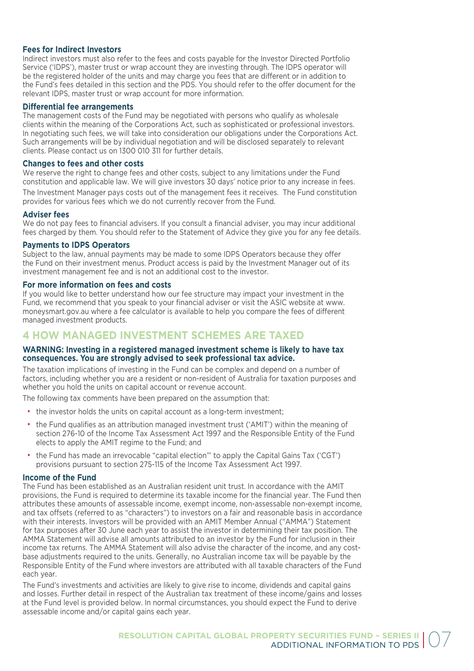# **Fees for Indirect Investors**

Indirect investors must also refer to the fees and costs payable for the Investor Directed Portfolio Service ('IDPS'), master trust or wrap account they are investing through. The IDPS operator will be the registered holder of the units and may charge you fees that are different or in addition to the Fund's fees detailed in this section and the PDS. You should refer to the offer document for the relevant IDPS, master trust or wrap account for more information.

# **Differential fee arrangements**

The management costs of the Fund may be negotiated with persons who qualify as wholesale clients within the meaning of the Corporations Act, such as sophisticated or professional investors. In negotiating such fees, we will take into consideration our obligations under the Corporations Act. Such arrangements will be by individual negotiation and will be disclosed separately to relevant clients. Please contact us on 1300 010 311 for further details.

# **Changes to fees and other costs**

We reserve the right to change fees and other costs, subject to any limitations under the Fund constitution and applicable law. We will give investors 30 days' notice prior to any increase in fees. The Investment Manager pays costs out of the management fees it receives. The Fund constitution provides for various fees which we do not currently recover from the Fund.

# **Adviser fees**

We do not pay fees to financial advisers. If you consult a financial adviser, you may incur additional fees charged by them. You should refer to the Statement of Advice they give you for any fee details.

# **Payments to IDPS Operators**

Subject to the law, annual payments may be made to some IDPS Operators because they offer the Fund on their investment menus. Product access is paid by the Investment Manager out of its investment management fee and is not an additional cost to the investor.

# **For more information on fees and costs**

If you would like to better understand how our fee structure may impact your investment in the Fund, we recommend that you speak to your financial adviser or visit the ASIC website at www. moneysmart.gov.au where a fee calculator is available to help you compare the fees of different managed investment products.

# **4 HOW MANAGED INVESTMENT SCHEMES ARE TAXED**

# **WARNING: Investing in a registered managed investment scheme is likely to have tax consequences. You are strongly advised to seek professional tax advice.**

The taxation implications of investing in the Fund can be complex and depend on a number of factors, including whether you are a resident or non-resident of Australia for taxation purposes and whether you hold the units on capital account or revenue account.

The following tax comments have been prepared on the assumption that:

- the investor holds the units on capital account as a long-term investment:
- the Fund qualifies as an attribution managed investment trust ('AMIT') within the meaning of section 276-10 of the Income Tax Assessment Act 1997 and the Responsible Entity of the Fund elects to apply the AMIT regime to the Fund; and
- the Fund has made an irrevocable "capital election"' to apply the Capital Gains Tax ('CGT') provisions pursuant to section 275-115 of the Income Tax Assessment Act 1997.

# **Income of the Fund**

The Fund has been established as an Australian resident unit trust. In accordance with the AMIT provisions, the Fund is required to determine its taxable income for the financial year. The Fund then attributes these amounts of assessable income, exempt income, non-assessable non-exempt income, and tax offsets (referred to as "characters") to investors on a fair and reasonable basis in accordance with their interests. Investors will be provided with an AMIT Member Annual ("AMMA") Statement for tax purposes after 30 June each year to assist the investor in determining their tax position. The AMMA Statement will advise all amounts attributed to an investor by the Fund for inclusion in their income tax returns. The AMMA Statement will also advise the character of the income, and any costbase adjustments required to the units. Generally, no Australian income tax will be payable by the Responsible Entity of the Fund where investors are attributed with all taxable characters of the Fund each year.

The Fund's investments and activities are likely to give rise to income, dividends and capital gains and losses. Further detail in respect of the Australian tax treatment of these income/gains and losses at the Fund level is provided below. In normal circumstances, you should expect the Fund to derive assessable income and/or capital gains each year.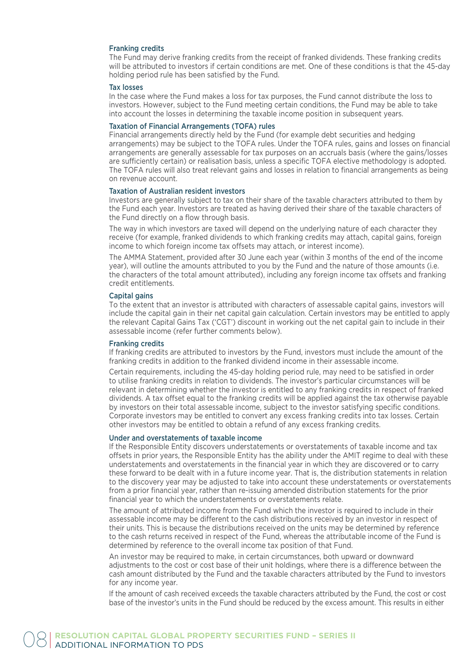# Franking credits

The Fund may derive franking credits from the receipt of franked dividends. These franking credits will be attributed to investors if certain conditions are met. One of these conditions is that the 45-day holding period rule has been satisfied by the Fund.

#### Tax losses

In the case where the Fund makes a loss for tax purposes, the Fund cannot distribute the loss to investors. However, subject to the Fund meeting certain conditions, the Fund may be able to take into account the losses in determining the taxable income position in subsequent years.

# Taxation of Financial Arrangements (TOFA) rules

Financial arrangements directly held by the Fund (for example debt securities and hedging arrangements) may be subject to the TOFA rules. Under the TOFA rules, gains and losses on financial arrangements are generally assessable for tax purposes on an accruals basis (where the gains/losses are sufficiently certain) or realisation basis, unless a specific TOFA elective methodology is adopted. The TOFA rules will also treat relevant gains and losses in relation to financial arrangements as being on revenue account.

#### Taxation of Australian resident investors

Investors are generally subject to tax on their share of the taxable characters attributed to them by the Fund each year. Investors are treated as having derived their share of the taxable characters of the Fund directly on a flow through basis.

The way in which investors are taxed will depend on the underlying nature of each character they receive (for example, franked dividends to which franking credits may attach, capital gains, foreign income to which foreign income tax offsets may attach, or interest income).

The AMMA Statement, provided after 30 June each year (within 3 months of the end of the income year), will outline the amounts attributed to you by the Fund and the nature of those amounts (i.e. the characters of the total amount attributed), including any foreign income tax offsets and franking credit entitlements.

#### Capital gains

To the extent that an investor is attributed with characters of assessable capital gains, investors will include the capital gain in their net capital gain calculation. Certain investors may be entitled to apply the relevant Capital Gains Tax ('CGT') discount in working out the net capital gain to include in their assessable income (refer further comments below).

#### Franking credits

If franking credits are attributed to investors by the Fund, investors must include the amount of the franking credits in addition to the franked dividend income in their assessable income.

Certain requirements, including the 45-day holding period rule, may need to be satisfied in order to utilise franking credits in relation to dividends. The investor's particular circumstances will be relevant in determining whether the investor is entitled to any franking credits in respect of franked dividends. A tax offset equal to the franking credits will be applied against the tax otherwise payable by investors on their total assessable income, subject to the investor satisfying specific conditions. Corporate investors may be entitled to convert any excess franking credits into tax losses. Certain other investors may be entitled to obtain a refund of any excess franking credits.

#### Under and overstatements of taxable income

If the Responsible Entity discovers understatements or overstatements of taxable income and tax offsets in prior years, the Responsible Entity has the ability under the AMIT regime to deal with these understatements and overstatements in the financial year in which they are discovered or to carry these forward to be dealt with in a future income year. That is, the distribution statements in relation to the discovery year may be adjusted to take into account these understatements or overstatements from a prior financial year, rather than re-issuing amended distribution statements for the prior financial year to which the understatements or overstatements relate.

The amount of attributed income from the Fund which the investor is required to include in their assessable income may be different to the cash distributions received by an investor in respect of their units. This is because the distributions received on the units may be determined by reference to the cash returns received in respect of the Fund, whereas the attributable income of the Fund is determined by reference to the overall income tax position of that Fund.

An investor may be required to make, in certain circumstances, both upward or downward adjustments to the cost or cost base of their unit holdings, where there is a difference between the cash amount distributed by the Fund and the taxable characters attributed by the Fund to investors for any income year.

If the amount of cash received exceeds the taxable characters attributed by the Fund, the cost or cost base of the investor's units in the Fund should be reduced by the excess amount. This results in either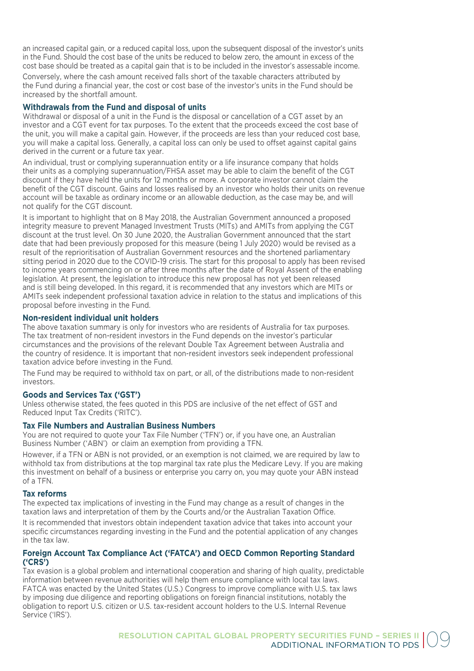an increased capital gain, or a reduced capital loss, upon the subsequent disposal of the investor's units in the Fund. Should the cost base of the units be reduced to below zero, the amount in excess of the cost base should be treated as a capital gain that is to be included in the investor's assessable income.

Conversely, where the cash amount received falls short of the taxable characters attributed by the Fund during a financial year, the cost or cost base of the investor's units in the Fund should be increased by the shortfall amount.

# **Withdrawals from the Fund and disposal of units**

Withdrawal or disposal of a unit in the Fund is the disposal or cancellation of a CGT asset by an investor and a CGT event for tax purposes. To the extent that the proceeds exceed the cost base of the unit, you will make a capital gain. However, if the proceeds are less than your reduced cost base, you will make a capital loss. Generally, a capital loss can only be used to offset against capital gains derived in the current or a future tax year.

An individual, trust or complying superannuation entity or a life insurance company that holds their units as a complying superannuation/FHSA asset may be able to claim the benefit of the CGT discount if they have held the units for 12 months or more. A corporate investor cannot claim the benefit of the CGT discount. Gains and losses realised by an investor who holds their units on revenue account will be taxable as ordinary income or an allowable deduction, as the case may be, and will not qualify for the CGT discount.

It is important to highlight that on 8 May 2018, the Australian Government announced a proposed integrity measure to prevent Managed Investment Trusts (MITs) and AMITs from applying the CGT discount at the trust level. On 30 June 2020, the Australian Government announced that the start date that had been previously proposed for this measure (being 1 July 2020) would be revised as a result of the reprioritisation of Australian Government resources and the shortened parliamentary sitting period in 2020 due to the COVID-19 crisis. The start for this proposal to apply has been revised to income years commencing on or after three months after the date of Royal Assent of the enabling legislation. At present, the legislation to introduce this new proposal has not yet been released and is still being developed. In this regard, it is recommended that any investors which are MITs or AMITs seek independent professional taxation advice in relation to the status and implications of this proposal before investing in the Fund.

# **Non-resident individual unit holders**

The above taxation summary is only for investors who are residents of Australia for tax purposes. The tax treatment of non-resident investors in the Fund depends on the investor's particular circumstances and the provisions of the relevant Double Tax Agreement between Australia and the country of residence. It is important that non-resident investors seek independent professional taxation advice before investing in the Fund.

The Fund may be required to withhold tax on part, or all, of the distributions made to non-resident investors.

# **Goods and Services Tax ('GST')**

Unless otherwise stated, the fees quoted in this PDS are inclusive of the net effect of GST and Reduced Input Tax Credits ('RITC').

# **Tax File Numbers and Australian Business Numbers**

You are not required to quote your Tax File Number ('TFN') or, if you have one, an Australian Business Number ('ABN') or claim an exemption from providing a TFN.

However, if a TFN or ABN is not provided, or an exemption is not claimed, we are required by law to withhold tax from distributions at the top marginal tax rate plus the Medicare Levy. If you are making this investment on behalf of a business or enterprise you carry on, you may quote your ABN instead of a TFN.

# **Tax reforms**

The expected tax implications of investing in the Fund may change as a result of changes in the taxation laws and interpretation of them by the Courts and/or the Australian Taxation Office.

It is recommended that investors obtain independent taxation advice that takes into account your specific circumstances regarding investing in the Fund and the potential application of any changes in the tax law.

# **Foreign Account Tax Compliance Act ('FATCA') and OECD Common Reporting Standard ('CRS')**

Tax evasion is a global problem and international cooperation and sharing of high quality, predictable information between revenue authorities will help them ensure compliance with local tax laws. FATCA was enacted by the United States (U.S.) Congress to improve compliance with U.S. tax laws by imposing due diligence and reporting obligations on foreign financial institutions, notably the obligation to report U.S. citizen or U.S. tax-resident account holders to the U.S. Internal Revenue Service ('IRS').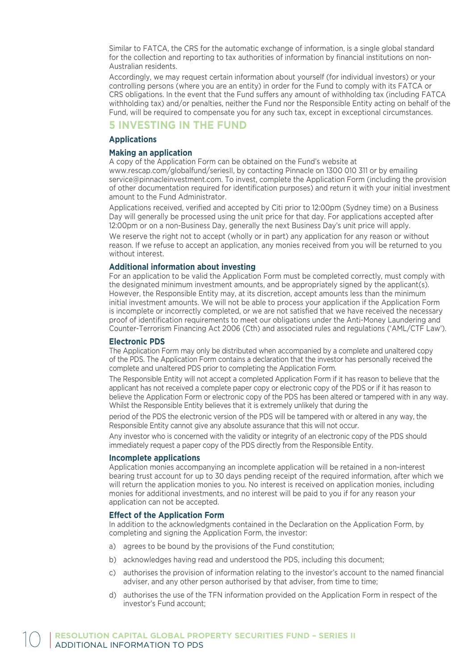Similar to FATCA, the CRS for the automatic exchange of information, is a single global standard for the collection and reporting to tax authorities of information by financial institutions on non-Australian residents.

Accordingly, we may request certain information about yourself (for individual investors) or your controlling persons (where you are an entity) in order for the Fund to comply with its FATCA or CRS obligations. In the event that the Fund suffers any amount of withholding tax (including FATCA withholding tax) and/or penalties, neither the Fund nor the Responsible Entity acting on behalf of the Fund, will be required to compensate you for any such tax, except in exceptional circumstances.

# **5 INVESTING IN THE FUND**

# **Applications**

# **Making an application**

A copy of the Application Form can be obtained on the Fund's website at www.rescap.com/globalfund/seriesII, by contacting Pinnacle on 1300 010 311 or by emailing service@pinnacleinvestment.com. To invest, complete the Application Form (including the provision of other documentation required for identification purposes) and return it with your initial investment amount to the Fund Administrator.

Applications received, verified and accepted by Citi prior to 12:00pm (Sydney time) on a Business Day will generally be processed using the unit price for that day. For applications accepted after 12:00pm or on a non-Business Day, generally the next Business Day's unit price will apply.

We reserve the right not to accept (wholly or in part) any application for any reason or without reason. If we refuse to accept an application, any monies received from you will be returned to you without interest.

# **Additional information about investing**

For an application to be valid the Application Form must be completed correctly, must comply with the designated minimum investment amounts, and be appropriately signed by the applicant(s). However, the Responsible Entity may, at its discretion, accept amounts less than the minimum initial investment amounts. We will not be able to process your application if the Application Form is incomplete or incorrectly completed, or we are not satisfied that we have received the necessary proof of identification requirements to meet our obligations under the Anti-Money Laundering and Counter-Terrorism Financing Act 2006 (Cth) and associated rules and regulations ('AML/CTF Law').

# **Electronic PDS**

The Application Form may only be distributed when accompanied by a complete and unaltered copy of the PDS. The Application Form contains a declaration that the investor has personally received the complete and unaltered PDS prior to completing the Application Form.

The Responsible Entity will not accept a completed Application Form if it has reason to believe that the applicant has not received a complete paper copy or electronic copy of the PDS or if it has reason to believe the Application Form or electronic copy of the PDS has been altered or tampered with in any way. Whilst the Responsible Entity believes that it is extremely unlikely that during the

period of the PDS the electronic version of the PDS will be tampered with or altered in any way, the Responsible Entity cannot give any absolute assurance that this will not occur.

Any investor who is concerned with the validity or integrity of an electronic copy of the PDS should immediately request a paper copy of the PDS directly from the Responsible Entity.

# **Incomplete applications**

Application monies accompanying an incomplete application will be retained in a non-interest bearing trust account for up to 30 days pending receipt of the required information, after which we will return the application monies to you. No interest is received on application monies, including monies for additional investments, and no interest will be paid to you if for any reason your application can not be accepted.

# **Effect of the Application Form**

In addition to the acknowledgments contained in the Declaration on the Application Form, by completing and signing the Application Form, the investor:

- a) agrees to be bound by the provisions of the Fund constitution;
- b) acknowledges having read and understood the PDS, including this document;
- c) authorises the provision of information relating to the investor's account to the named financial adviser, and any other person authorised by that adviser, from time to time;
- d) authorises the use of the TFN information provided on the Application Form in respect of the investor's Fund account;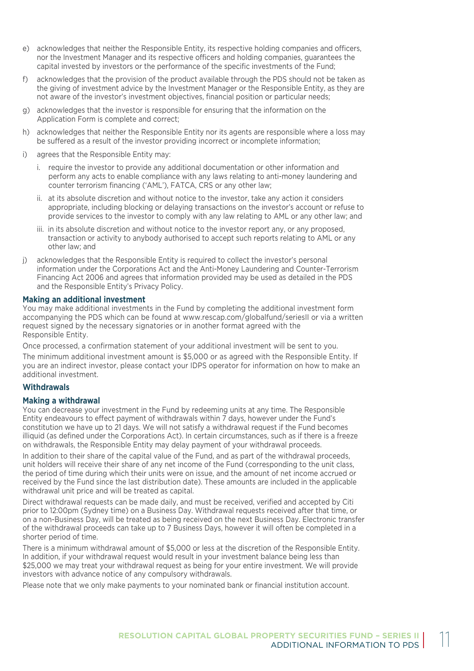- e) acknowledges that neither the Responsible Entity, its respective holding companies and officers, nor the Investment Manager and its respective officers and holding companies, guarantees the capital invested by investors or the performance of the specific investments of the Fund;
- f) acknowledges that the provision of the product available through the PDS should not be taken as the giving of investment advice by the Investment Manager or the Responsible Entity, as they are not aware of the investor's investment objectives, financial position or particular needs;
- g) acknowledges that the investor is responsible for ensuring that the information on the Application Form is complete and correct;
- h) acknowledges that neither the Responsible Entity nor its agents are responsible where a loss may be suffered as a result of the investor providing incorrect or incomplete information;
- i) agrees that the Responsible Entity may:
	- i. require the investor to provide any additional documentation or other information and perform any acts to enable compliance with any laws relating to anti-money laundering and counter terrorism financing ('AML'), FATCA, CRS or any other law;
	- ii. at its absolute discretion and without notice to the investor, take any action it considers appropriate, including blocking or delaying transactions on the investor's account or refuse to provide services to the investor to comply with any law relating to AML or any other law; and
	- iii. in its absolute discretion and without notice to the investor report any, or any proposed, transaction or activity to anybody authorised to accept such reports relating to AML or any other law; and
- j) acknowledges that the Responsible Entity is required to collect the investor's personal information under the Corporations Act and the Anti-Money Laundering and Counter-Terrorism Financing Act 2006 and agrees that information provided may be used as detailed in the PDS and the Responsible Entity's Privacy Policy.

# **Making an additional investment**

You may make additional investments in the Fund by completing the additional investment form accompanying the PDS which can be found at www.rescap.com/globalfund/seriesII or via a written request signed by the necessary signatories or in another format agreed with the Responsible Entity.

Once processed, a confirmation statement of your additional investment will be sent to you.

The minimum additional investment amount is \$5,000 or as agreed with the Responsible Entity. If you are an indirect investor, please contact your IDPS operator for information on how to make an additional investment.

# **Withdrawals**

# **Making a withdrawal**

You can decrease your investment in the Fund by redeeming units at any time. The Responsible Entity endeavours to effect payment of withdrawals within 7 days, however under the Fund's constitution we have up to 21 days. We will not satisfy a withdrawal request if the Fund becomes illiquid (as defined under the Corporations Act). In certain circumstances, such as if there is a freeze on withdrawals, the Responsible Entity may delay payment of your withdrawal proceeds.

In addition to their share of the capital value of the Fund, and as part of the withdrawal proceeds, unit holders will receive their share of any net income of the Fund (corresponding to the unit class, the period of time during which their units were on issue, and the amount of net income accrued or received by the Fund since the last distribution date). These amounts are included in the applicable withdrawal unit price and will be treated as capital.

Direct withdrawal requests can be made daily, and must be received, verified and accepted by Citi prior to 12:00pm (Sydney time) on a Business Day. Withdrawal requests received after that time, or on a non-Business Day, will be treated as being received on the next Business Day. Electronic transfer of the withdrawal proceeds can take up to 7 Business Days, however it will often be completed in a shorter period of time.

There is a minimum withdrawal amount of \$5,000 or less at the discretion of the Responsible Entity. In addition, if your withdrawal request would result in your investment balance being less than \$25,000 we may treat your withdrawal request as being for your entire investment. We will provide investors with advance notice of any compulsory withdrawals.

Please note that we only make payments to your nominated bank or financial institution account.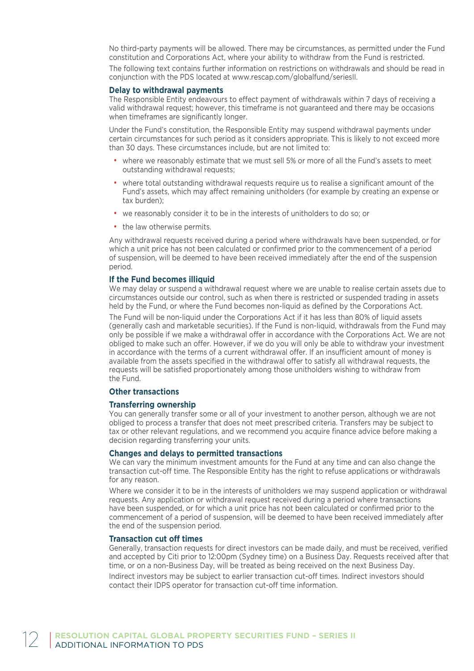No third-party payments will be allowed. There may be circumstances, as permitted under the Fund constitution and Corporations Act, where your ability to withdraw from the Fund is restricted. The following text contains further information on restrictions on withdrawals and should be read in conjunction with the PDS located at www.rescap.com/globalfund/seriesII.

# **Delay to withdrawal payments**

The Responsible Entity endeavours to effect payment of withdrawals within 7 days of receiving a valid withdrawal request; however, this timeframe is not guaranteed and there may be occasions when timeframes are significantly longer.

Under the Fund's constitution, the Responsible Entity may suspend withdrawal payments under certain circumstances for such period as it considers appropriate. This is likely to not exceed more than 30 days. These circumstances include, but are not limited to:

- where we reasonably estimate that we must sell 5% or more of all the Fund's assets to meet outstanding withdrawal requests;
- where total outstanding withdrawal requests require us to realise a significant amount of the Fund's assets, which may affect remaining unitholders (for example by creating an expense or tax burden);
- we reasonably consider it to be in the interests of unitholders to do so; or
- the law otherwise permits.

Any withdrawal requests received during a period where withdrawals have been suspended, or for which a unit price has not been calculated or confirmed prior to the commencement of a period of suspension, will be deemed to have been received immediately after the end of the suspension period.

# **If the Fund becomes illiquid**

We may delay or suspend a withdrawal request where we are unable to realise certain assets due to circumstances outside our control, such as when there is restricted or suspended trading in assets held by the Fund, or where the Fund becomes non-liquid as defined by the Corporations Act.

The Fund will be non-liquid under the Corporations Act if it has less than 80% of liquid assets (generally cash and marketable securities). If the Fund is non-liquid, withdrawals from the Fund may only be possible if we make a withdrawal offer in accordance with the Corporations Act. We are not obliged to make such an offer. However, if we do you will only be able to withdraw your investment in accordance with the terms of a current withdrawal offer. If an insufficient amount of money is available from the assets specified in the withdrawal offer to satisfy all withdrawal requests, the requests will be satisfied proportionately among those unitholders wishing to withdraw from the Fund.

# **Other transactions**

# **Transferring ownership**

You can generally transfer some or all of your investment to another person, although we are not obliged to process a transfer that does not meet prescribed criteria. Transfers may be subject to tax or other relevant regulations, and we recommend you acquire finance advice before making a decision regarding transferring your units.

# **Changes and delays to permitted transactions**

We can vary the minimum investment amounts for the Fund at any time and can also change the transaction cut-off time. The Responsible Entity has the right to refuse applications or withdrawals for any reason.

Where we consider it to be in the interests of unitholders we may suspend application or withdrawal requests. Any application or withdrawal request received during a period where transactions have been suspended, or for which a unit price has not been calculated or confirmed prior to the commencement of a period of suspension, will be deemed to have been received immediately after the end of the suspension period.

#### **Transaction cut off times**

Generally, transaction requests for direct investors can be made daily, and must be received, verified and accepted by Citi prior to 12:00pm (Sydney time) on a Business Day. Requests received after that time, or on a non-Business Day, will be treated as being received on the next Business Day.

Indirect investors may be subject to earlier transaction cut-off times. Indirect investors should contact their IDPS operator for transaction cut-off time information.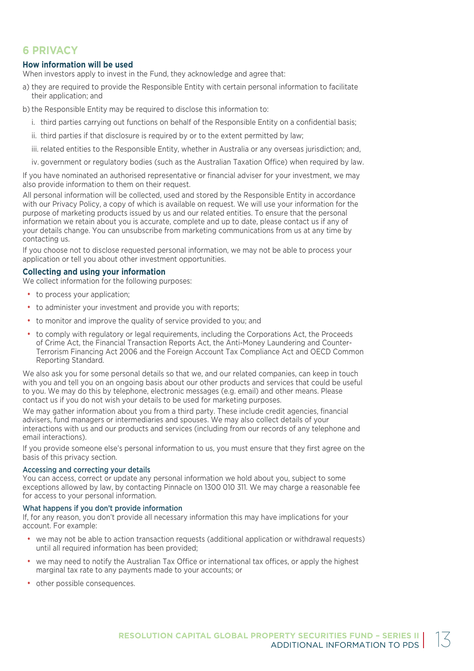# **6 PRIVACY**

# **How information will be used**

When investors apply to invest in the Fund, they acknowledge and agree that:

- a) they are required to provide the Responsible Entity with certain personal information to facilitate their application; and
- b) the Responsible Entity may be required to disclose this information to:
	- i. third parties carrying out functions on behalf of the Responsible Entity on a confidential basis;
	- ii. third parties if that disclosure is required by or to the extent permitted by law;
	- iii. related entities to the Responsible Entity, whether in Australia or any overseas jurisdiction; and,
	- iv. government or regulatory bodies (such as the Australian Taxation Office) when required by law.

If you have nominated an authorised representative or financial adviser for your investment, we may also provide information to them on their request.

All personal information will be collected, used and stored by the Responsible Entity in accordance with our Privacy Policy, a copy of which is available on request. We will use your information for the purpose of marketing products issued by us and our related entities. To ensure that the personal information we retain about you is accurate, complete and up to date, please contact us if any of your details change. You can unsubscribe from marketing communications from us at any time by contacting us.

If you choose not to disclose requested personal information, we may not be able to process your application or tell you about other investment opportunities.

# **Collecting and using your information**

We collect information for the following purposes:

- to process your application:
- to administer your investment and provide you with reports;
- to monitor and improve the quality of service provided to you; and
- to comply with regulatory or legal requirements, including the Corporations Act, the Proceeds of Crime Act, the Financial Transaction Reports Act, the Anti-Money Laundering and Counter-Terrorism Financing Act 2006 and the Foreign Account Tax Compliance Act and OECD Common Reporting Standard.

We also ask you for some personal details so that we, and our related companies, can keep in touch with you and tell you on an ongoing basis about our other products and services that could be useful to you. We may do this by telephone, electronic messages (e.g. email) and other means. Please contact us if you do not wish your details to be used for marketing purposes.

We may gather information about you from a third party. These include credit agencies, financial advisers, fund managers or intermediaries and spouses. We may also collect details of your interactions with us and our products and services (including from our records of any telephone and email interactions).

If you provide someone else's personal information to us, you must ensure that they first agree on the basis of this privacy section.

# Accessing and correcting your details

You can access, correct or update any personal information we hold about you, subject to some exceptions allowed by law, by contacting Pinnacle on 1300 010 311. We may charge a reasonable fee for access to your personal information.

# What happens if you don't provide information

If, for any reason, you don't provide all necessary information this may have implications for your account. For example:

- we may not be able to action transaction requests (additional application or withdrawal requests) until all required information has been provided;
- we may need to notify the Australian Tax Office or international tax offices, or apply the highest marginal tax rate to any payments made to your accounts; or
- other possible consequences.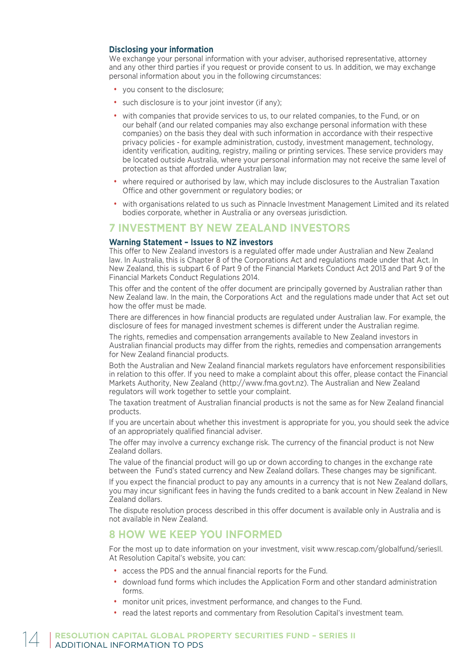# **Disclosing your information**

We exchange your personal information with your adviser, authorised representative, attorney and any other third parties if you request or provide consent to us. In addition, we may exchange personal information about you in the following circumstances:

- you consent to the disclosure;
- such disclosure is to your joint investor (if any):
- with companies that provide services to us, to our related companies, to the Fund, or on our behalf (and our related companies may also exchange personal information with these companies) on the basis they deal with such information in accordance with their respective privacy policies - for example administration, custody, investment management, technology, identity verification, auditing, registry, mailing or printing services. These service providers may be located outside Australia, where your personal information may not receive the same level of protection as that afforded under Australian law;
- where required or authorised by law, which may include disclosures to the Australian Taxation Office and other government or regulatory bodies; or
- with organisations related to us such as Pinnacle Investment Management Limited and its related bodies corporate, whether in Australia or any overseas jurisdiction.

# **7 INVESTMENT BY NEW ZEALAND INVESTORS**

# **Warning Statement – Issues to NZ investors**

This offer to New Zealand investors is a regulated offer made under Australian and New Zealand law. In Australia, this is Chapter 8 of the Corporations Act and regulations made under that Act. In New Zealand, this is subpart 6 of Part 9 of the Financial Markets Conduct Act 2013 and Part 9 of the Financial Markets Conduct Regulations 2014.

This offer and the content of the offer document are principally governed by Australian rather than New Zealand law. In the main, the Corporations Act and the regulations made under that Act set out how the offer must be made.

There are differences in how financial products are regulated under Australian law. For example, the disclosure of fees for managed investment schemes is different under the Australian regime.

The rights, remedies and compensation arrangements available to New Zealand investors in Australian financial products may differ from the rights, remedies and compensation arrangements for New Zealand financial products.

Both the Australian and New Zealand financial markets regulators have enforcement responsibilities in relation to this offer. If you need to make a complaint about this offer, please contact the Financial Markets Authority, New Zealand (http://www.fma.govt.nz). The Australian and New Zealand regulators will work together to settle your complaint.

The taxation treatment of Australian financial products is not the same as for New Zealand financial products.

If you are uncertain about whether this investment is appropriate for you, you should seek the advice of an appropriately qualified financial adviser.

The offer may involve a currency exchange risk. The currency of the financial product is not New Zealand dollars.

The value of the financial product will go up or down according to changes in the exchange rate between the Fund's stated currency and New Zealand dollars. These changes may be significant.

If you expect the financial product to pay any amounts in a currency that is not New Zealand dollars, you may incur significant fees in having the funds credited to a bank account in New Zealand in New Zealand dollars.

The dispute resolution process described in this offer document is available only in Australia and is not available in New Zealand.

# **8 HOW WE KEEP YOU INFORMED**

For the most up to date information on your investment, visit www.rescap.com/globalfund/seriesII. At Resolution Capital's website, you can:

- access the PDS and the annual financial reports for the Fund.
- download fund forms which includes the Application Form and other standard administration forms.
- monitor unit prices, investment performance, and changes to the Fund.
- read the latest reports and commentary from Resolution Capital's investment team.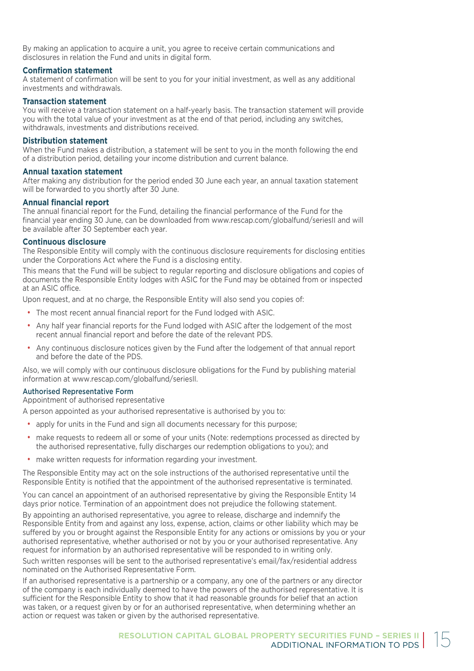By making an application to acquire a unit, you agree to receive certain communications and disclosures in relation the Fund and units in digital form.

# **Confirmation statement**

A statement of confirmation will be sent to you for your initial investment, as well as any additional investments and withdrawals.

# **Transaction statement**

You will receive a transaction statement on a half-yearly basis. The transaction statement will provide you with the total value of your investment as at the end of that period, including any switches, withdrawals, investments and distributions received.

# **Distribution statement**

When the Fund makes a distribution, a statement will be sent to you in the month following the end of a distribution period, detailing your income distribution and current balance.

# **Annual taxation statement**

After making any distribution for the period ended 30 June each year, an annual taxation statement will be forwarded to you shortly after 30 June.

# **Annual financial report**

The annual financial report for the Fund, detailing the financial performance of the Fund for the financial year ending 30 June, can be downloaded from www.rescap.com/globalfund/seriesII and will be available after 30 September each year.

# **Continuous disclosure**

The Responsible Entity will comply with the continuous disclosure requirements for disclosing entities under the Corporations Act where the Fund is a disclosing entity.

This means that the Fund will be subject to regular reporting and disclosure obligations and copies of documents the Responsible Entity lodges with ASIC for the Fund may be obtained from or inspected at an ASIC office.

Upon request, and at no charge, the Responsible Entity will also send you copies of:

- The most recent annual financial report for the Fund lodged with ASIC.
- Any half year financial reports for the Fund lodged with ASIC after the lodgement of the most recent annual financial report and before the date of the relevant PDS.
- Any continuous disclosure notices given by the Fund after the lodgement of that annual report and before the date of the PDS.

Also, we will comply with our continuous disclosure obligations for the Fund by publishing material information at www.rescap.com/globalfund/seriesII.

# Authorised Representative Form

Appointment of authorised representative

A person appointed as your authorised representative is authorised by you to:

- apply for units in the Fund and sign all documents necessary for this purpose;
- make requests to redeem all or some of your units (Note: redemptions processed as directed by the authorised representative, fully discharges our redemption obligations to you); and
- make written requests for information regarding your investment.

The Responsible Entity may act on the sole instructions of the authorised representative until the Responsible Entity is notified that the appointment of the authorised representative is terminated.

You can cancel an appointment of an authorised representative by giving the Responsible Entity 14 days prior notice. Termination of an appointment does not prejudice the following statement.

By appointing an authorised representative, you agree to release, discharge and indemnify the Responsible Entity from and against any loss, expense, action, claims or other liability which may be suffered by you or brought against the Responsible Entity for any actions or omissions by you or your authorised representative, whether authorised or not by you or your authorised representative. Any request for information by an authorised representative will be responded to in writing only.

Such written responses will be sent to the authorised representative's email/fax/residential address nominated on the Authorised Representative Form.

If an authorised representative is a partnership or a company, any one of the partners or any director of the company is each individually deemed to have the powers of the authorised representative. It is sufficient for the Responsible Entity to show that it had reasonable grounds for belief that an action was taken, or a request given by or for an authorised representative, when determining whether an action or request was taken or given by the authorised representative.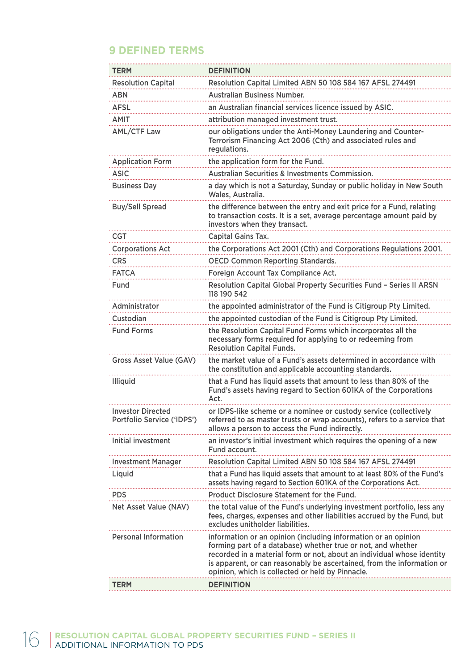# **9 DEFINED TERMS**

| <b>TERM</b>                                            | <b>DEFINITION</b>                                                                                                                                                                                                                                                                                                                      |
|--------------------------------------------------------|----------------------------------------------------------------------------------------------------------------------------------------------------------------------------------------------------------------------------------------------------------------------------------------------------------------------------------------|
| <b>Resolution Capital</b>                              | Resolution Capital Limited ABN 50 108 584 167 AFSL 274491                                                                                                                                                                                                                                                                              |
| <b>ABN</b>                                             | <b>Australian Business Number.</b>                                                                                                                                                                                                                                                                                                     |
| <b>AFSL</b>                                            | an Australian financial services licence issued by ASIC.                                                                                                                                                                                                                                                                               |
| <b>AMIT</b>                                            | attribution managed investment trust.                                                                                                                                                                                                                                                                                                  |
| <b>AML/CTF Law</b>                                     | our obligations under the Anti-Money Laundering and Counter-<br>Terrorism Financing Act 2006 (Cth) and associated rules and<br>regulations.                                                                                                                                                                                            |
| <b>Application Form</b>                                | the application form for the Fund.                                                                                                                                                                                                                                                                                                     |
| ASIC                                                   | Australian Securities & Investments Commission.                                                                                                                                                                                                                                                                                        |
| <b>Business Day</b>                                    | a day which is not a Saturday, Sunday or public holiday in New South<br>Wales, Australia.                                                                                                                                                                                                                                              |
| <b>Buy/Sell Spread</b>                                 | the difference between the entry and exit price for a Fund, relating<br>to transaction costs. It is a set, average percentage amount paid by<br>investors when they transact.                                                                                                                                                          |
| <b>CGT</b>                                             | Capital Gains Tax.                                                                                                                                                                                                                                                                                                                     |
| <b>Corporations Act</b>                                | the Corporations Act 2001 (Cth) and Corporations Regulations 2001.                                                                                                                                                                                                                                                                     |
| <b>CRS</b>                                             | <b>OECD Common Reporting Standards.</b>                                                                                                                                                                                                                                                                                                |
| <b>FATCA</b>                                           | Foreign Account Tax Compliance Act.                                                                                                                                                                                                                                                                                                    |
| Fund                                                   | Resolution Capital Global Property Securities Fund - Series II ARSN<br>118 190 542                                                                                                                                                                                                                                                     |
| Administrator                                          | the appointed administrator of the Fund is Citigroup Pty Limited.                                                                                                                                                                                                                                                                      |
| Custodian                                              | the appointed custodian of the Fund is Citigroup Pty Limited.                                                                                                                                                                                                                                                                          |
|                                                        |                                                                                                                                                                                                                                                                                                                                        |
| <b>Fund Forms</b>                                      | the Resolution Capital Fund Forms which incorporates all the<br>necessary forms required for applying to or redeeming from<br><b>Resolution Capital Funds.</b>                                                                                                                                                                         |
| Gross Asset Value (GAV)                                | the market value of a Fund's assets determined in accordance with<br>the constitution and applicable accounting standards.                                                                                                                                                                                                             |
| <b>Illiquid</b>                                        | that a Fund has liquid assets that amount to less than 80% of the<br>Fund's assets having regard to Section 601KA of the Corporations<br>Act.                                                                                                                                                                                          |
| <b>Investor Directed</b><br>Portfolio Service ('IDPS') | or IDPS-like scheme or a nominee or custody service (collectively<br>referred to as master trusts or wrap accounts), refers to a service that<br>allows a person to access the Fund indirectly.                                                                                                                                        |
| Initial investment                                     | an investor's initial investment which requires the opening of a new<br>Fund account.                                                                                                                                                                                                                                                  |
| <b>Investment Manager</b>                              | Resolution Capital Limited ABN 50 108 584 167 AFSL 274491                                                                                                                                                                                                                                                                              |
| Liquid                                                 | that a Fund has liquid assets that amount to at least 80% of the Fund's<br>assets having regard to Section 601KA of the Corporations Act.                                                                                                                                                                                              |
| <b>PDS</b>                                             | Product Disclosure Statement for the Fund.                                                                                                                                                                                                                                                                                             |
| Net Asset Value (NAV)                                  | the total value of the Fund's underlying investment portfolio, less any<br>fees, charges, expenses and other liabilities accrued by the Fund, but<br>excludes unitholder liabilities.                                                                                                                                                  |
| <b>Personal Information</b>                            | information or an opinion (including information or an opinion<br>forming part of a database) whether true or not, and whether<br>recorded in a material form or not, about an individual whose identity<br>is apparent, or can reasonably be ascertained, from the information or<br>opinion, which is collected or held by Pinnacle. |